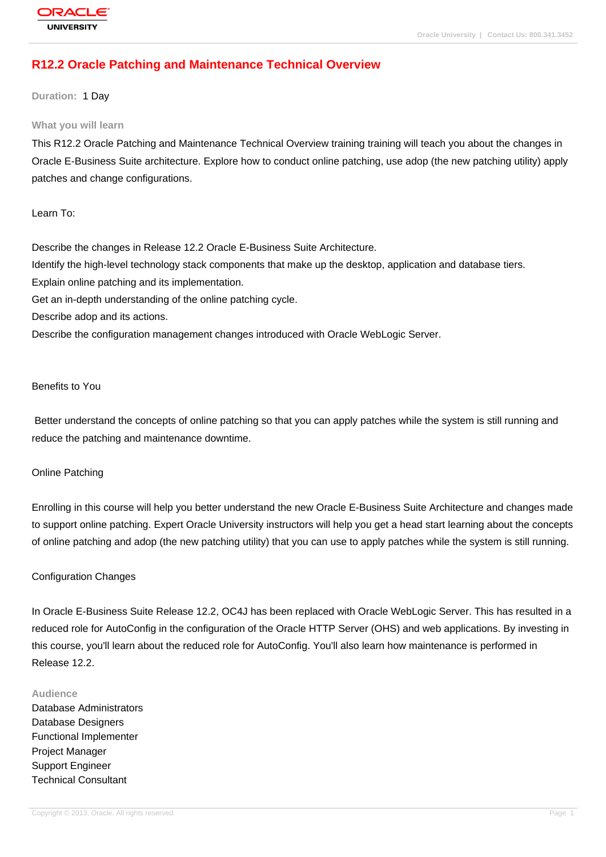# **[R12.2 Oracle P](http://education.oracle.com/pls/web_prod-plq-dad/db_pages.getpage?page_id=3)atching and Maintenance Technical Overview**

### **Duration:** 1 Day

### **What you will learn**

This R12.2 Oracle Patching and Maintenance Technical Overview training training will teach you about the changes in Oracle E-Business Suite architecture. Explore how to conduct online patching, use adop (the new patching utility) apply patches and change configurations.

### Learn To:

Describe the changes in Release 12.2 Oracle E-Business Suite Architecture. Identify the high-level technology stack components that make up the desktop, application and database tiers. Explain online patching and its implementation. Get an in-depth understanding of the online patching cycle. Describe adop and its actions. Describe the configuration management changes introduced with Oracle WebLogic Server.

# Benefits to You

 Better understand the concepts of online patching so that you can apply patches while the system is still running and reduce the patching and maintenance downtime.

### Online Patching

Enrolling in this course will help you better understand the new Oracle E-Business Suite Architecture and changes made to support online patching. Expert Oracle University instructors will help you get a head start learning about the concepts of online patching and adop (the new patching utility) that you can use to apply patches while the system is still running.

### Configuration Changes

In Oracle E-Business Suite Release 12.2, OC4J has been replaced with Oracle WebLogic Server. This has resulted in a reduced role for AutoConfig in the configuration of the Oracle HTTP Server (OHS) and web applications. By investing in this course, you'll learn about the reduced role for AutoConfig. You'll also learn how maintenance is performed in Release 12.2.

#### **Audience**

Database Administrators Database Designers Functional Implementer Project Manager Support Engineer Technical Consultant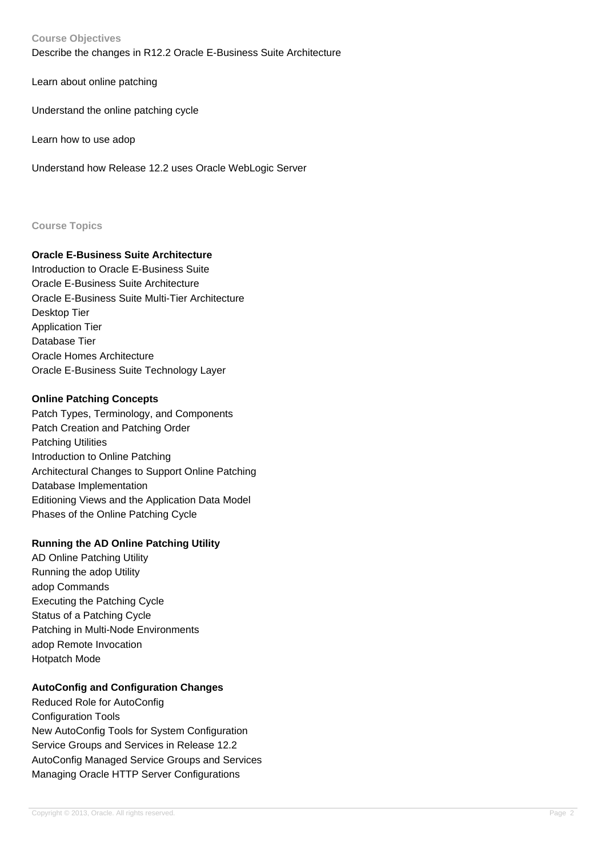### **Course Objectives**

Describe the changes in R12.2 Oracle E-Business Suite Architecture

Learn about online patching

Understand the online patching cycle

Learn how to use adop

Understand how Release 12.2 uses Oracle WebLogic Server

### **Course Topics**

# **Oracle E-Business Suite Architecture**

Introduction to Oracle E-Business Suite Oracle E-Business Suite Architecture Oracle E-Business Suite Multi-Tier Architecture Desktop Tier Application Tier Database Tier Oracle Homes Architecture Oracle E-Business Suite Technology Layer

# **Online Patching Concepts**

Patch Types, Terminology, and Components Patch Creation and Patching Order Patching Utilities Introduction to Online Patching Architectural Changes to Support Online Patching Database Implementation Editioning Views and the Application Data Model Phases of the Online Patching Cycle

# **Running the AD Online Patching Utility**

AD Online Patching Utility Running the adop Utility adop Commands Executing the Patching Cycle Status of a Patching Cycle Patching in Multi-Node Environments adop Remote Invocation Hotpatch Mode

# **AutoConfig and Configuration Changes**

Reduced Role for AutoConfig Configuration Tools New AutoConfig Tools for System Configuration Service Groups and Services in Release 12.2 AutoConfig Managed Service Groups and Services Managing Oracle HTTP Server Configurations